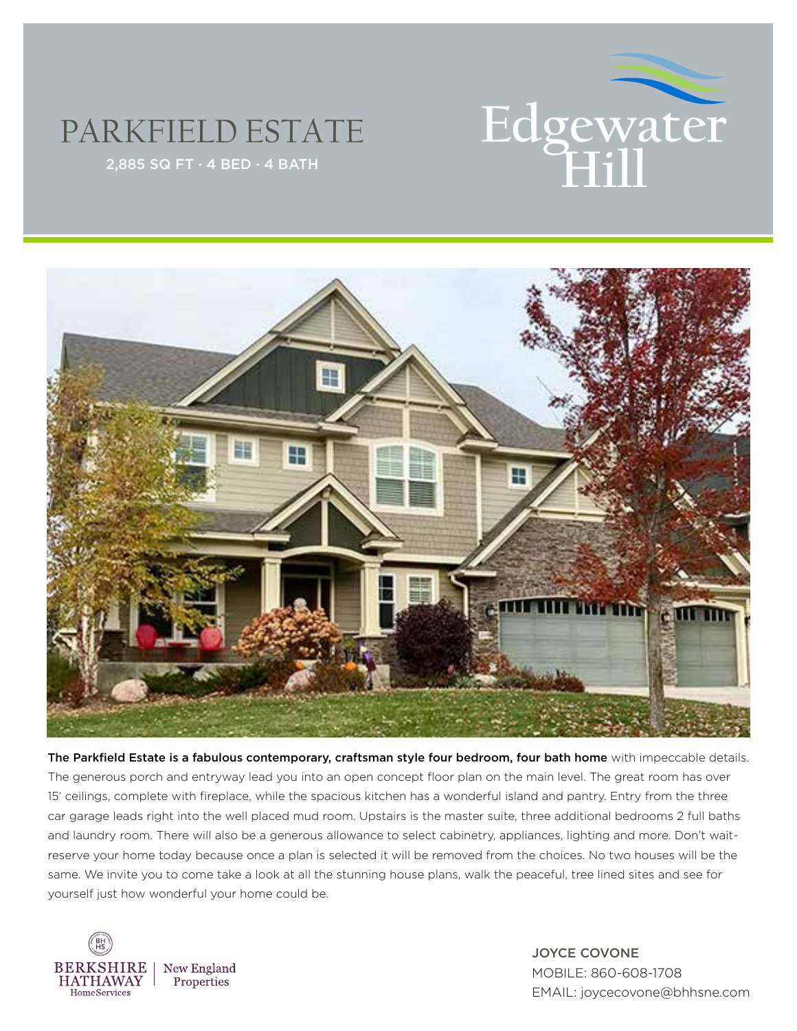

## PARKFIELD ESTATE



The Parkfield Estate is a fabulous contemporary, craftsman style four bedroom, four bath home with impeccable details. The generous porch and entryway lead you into an open concept floor plan on the main level. The great room has over 15' ceilings, complete with fireplace, while the spacious kitchen has a wonderful island and pantry. Entry from the three car garage leads right into the well placed mud room. Upstairs is the master suite, three additional bedrooms 2 full baths and laundry room. There will also be a generous allowance to select cabinetry, appliances, lighting and more. Don't waitreserve your home today because once a plan is selected it will be removed from the choices. No two houses will be the same. We invite you to come take a look at all the stunning house plans, walk the peaceful, tree lined sites and see for yourself just how wonderful your home could be.



JOYCE COVONE MOBILE: 860-608-1708 EMAIL: joycecovone@bhhsne.com